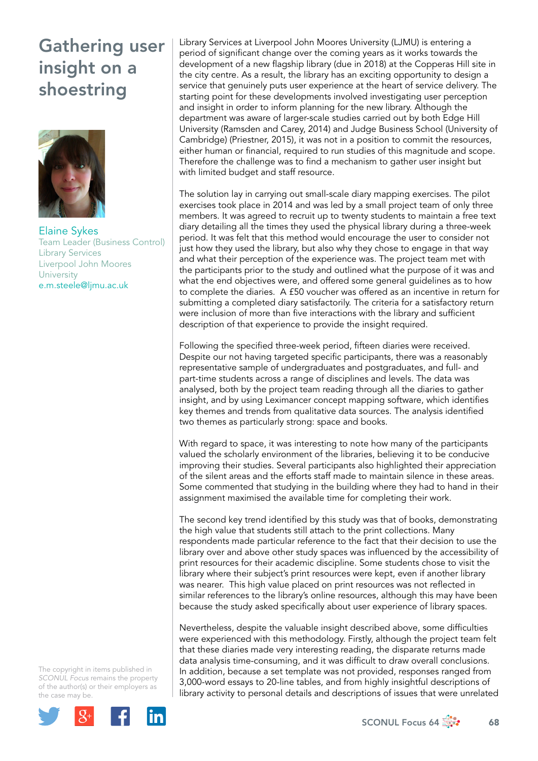

Elaine Sykes Team Leader (Business Control) Library Services Liverpool John Moores **University** e.m.steele@ljmu.ac.uk

The copyright in items published in *SCONUL Focus* remains the property of the author(s) or their employers as the case m[ay be.](http://plus.google.com/share?url=http://www.sconul.ac.uk/page/focus-64)



Library Services at Liverpool John Moores University (LJMU) is entering a period of significant change over the coming years as it works towards the development of a new flagship library (due in 2018) at the Copperas Hill site in the city centre. As a result, the library has an exciting opportunity to design a service that genuinely puts user experience at the heart of service delivery. The starting point for these developments involved investigating user perception and insight in order to inform planning for the new library. Although the department was aware of larger-scale studies carried out by both Edge Hill University (Ramsden and Carey, 2014) and Judge Business School (University of Cambridge) (Priestner, 2015), it was not in a position to commit the resources, either human or financial, required to run studies of this magnitude and scope. Therefore the challenge was to find a mechanism to gather user insight but with limited budget and staff resource.

The solution lay in carrying out small-scale diary mapping exercises. The pilot exercises took place in 2014 and was led by a small project team of only three members. It was agreed to recruit up to twenty students to maintain a free text diary detailing all the times they used the physical library during a three-week period. It was felt that this method would encourage the user to consider not just how they used the library, but also why they chose to engage in that way and what their perception of the experience was. The project team met with the participants prior to the study and outlined what the purpose of it was and what the end objectives were, and offered some general guidelines as to how to complete the diaries. A £50 voucher was offered as an incentive in return for submitting a completed diary satisfactorily. The criteria for a satisfactory return were inclusion of more than five interactions with the library and sufficient description of that experience to provide the insight required.

Following the specified three-week period, fifteen diaries were received. Despite our not having targeted specific participants, there was a reasonably representative sample of undergraduates and postgraduates, and full- and part-time students across a range of disciplines and levels. The data was analysed, both by the project team reading through all the diaries to gather insight, and by using Leximancer concept mapping software, which identifies key themes and trends from qualitative data sources. The analysis identified two themes as particularly strong: space and books.

With regard to space, it was interesting to note how many of the participants valued the scholarly environment of the libraries, believing it to be conducive improving their studies. Several participants also highlighted their appreciation of the silent areas and the efforts staff made to maintain silence in these areas. Some commented that studying in the building where they had to hand in their assignment maximised the available time for completing their work.

The second key trend identified by this study was that of books, demonstrating the high value that students still attach to the print collections. Many respondents made particular reference to the fact that their decision to use the library over and above other study spaces was influenced by the accessibility of print resources for their academic discipline. Some students chose to visit the library where their subject's print resources were kept, even if another library was nearer. This high value placed on print resources was not reflected in similar references to the library's online resources, although this may have been because the study asked specifically about user experience of library spaces.

Nevertheless, despite the valuable insight described above, some difficulties were experienced with this methodology. Firstly, although the project team felt that these diaries made very interesting reading, the disparate returns made data analysis time-consuming, and it was difficult to draw overall conclusions. In addition, because a set template was not provided, responses ranged from 3,000-word essays to 20-line tables, and from highly insightful descriptions of library activity to personal details and descriptions of issues that were unrelated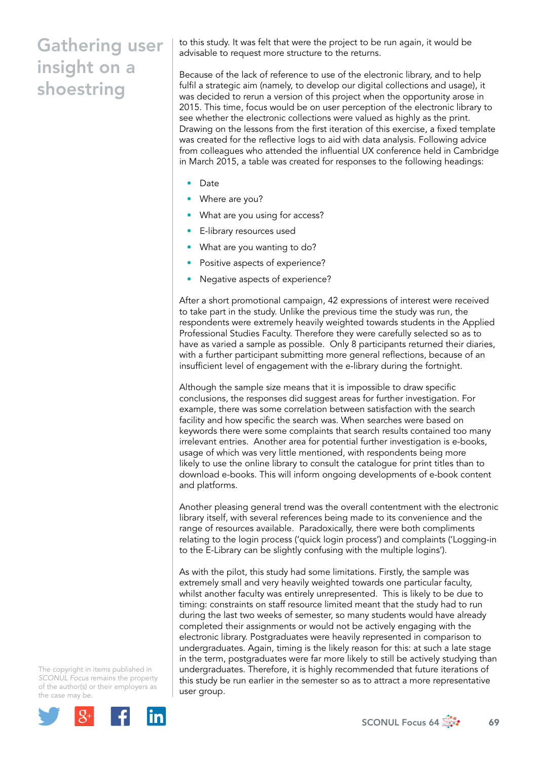to this study. It was felt that were the project to be run again, it would be advisable to request more structure to the returns.

Because of the lack of reference to use of the electronic library, and to help fulfil a strategic aim (namely, to develop our digital collections and usage), it was decided to rerun a version of this project when the opportunity arose in 2015. This time, focus would be on user perception of the electronic library to see whether the electronic collections were valued as highly as the print. Drawing on the lessons from the first iteration of this exercise, a fixed template was created for the reflective logs to aid with data analysis. Following advice from colleagues who attended the influential UX conference held in Cambridge in March 2015, a table was created for responses to the following headings:

- Date
- Where are you?
- What are you using for access?
- E-library resources used
- What are you wanting to do?
- Positive aspects of experience?
- Negative aspects of experience?

After a short promotional campaign, 42 expressions of interest were received to take part in the study. Unlike the previous time the study was run, the respondents were extremely heavily weighted towards students in the Applied Professional Studies Faculty. Therefore they were carefully selected so as to have as varied a sample as possible. Only 8 participants returned their diaries, with a further participant submitting more general reflections, because of an insufficient level of engagement with the e-library during the fortnight.

Although the sample size means that it is impossible to draw specific conclusions, the responses did suggest areas for further investigation. For example, there was some correlation between satisfaction with the search facility and how specific the search was. When searches were based on keywords there were some complaints that search results contained too many irrelevant entries. Another area for potential further investigation is e-books, usage of which was very little mentioned, with respondents being more likely to use the online library to consult the catalogue for print titles than to download e-books. This will inform ongoing developments of e-book content and platforms.

Another pleasing general trend was the overall contentment with the electronic library itself, with several references being made to its convenience and the range of resources available. Paradoxically, there were both compliments relating to the login process ('quick login process') and complaints ('Logging-in to the E-Library can be slightly confusing with the multiple logins').

As with the pilot, this study had some limitations. Firstly, the sample was extremely small and very heavily weighted towards one particular faculty, whilst another faculty was entirely unrepresented. This is likely to be due to timing: constraints on staff resource limited meant that the study had to run during the last two weeks of semester, so many students would have already completed their assignments or would not be actively engaging with the electronic library. Postgraduates were heavily represented in comparison to undergraduates. Again, timing is the likely reason for this: at such a late stage in the term, postgraduates were far more likely to still be actively studying than undergraduates. Therefore, it is highly recommended that future iterations of this study be run earlier in the semester so as to attract a more representative user group.

The copyright in items published in *SCONUL Focus* remains the property of the author(s) or their employers as the case m[ay be.](http://plus.google.com/share?url=http://www.sconul.ac.uk/page/focus-64)

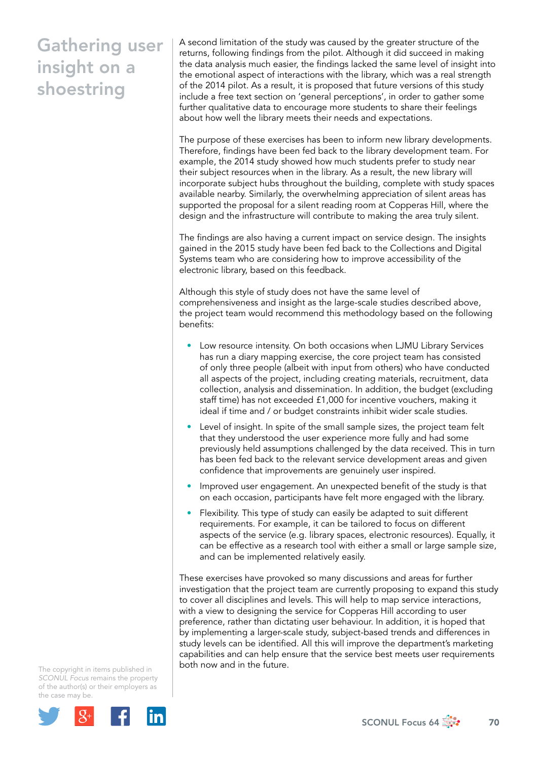A second limitation of the study was caused by the greater structure of the returns, following findings from the pilot. Although it did succeed in making the data analysis much easier, the findings lacked the same level of insight into the emotional aspect of interactions with the library, which was a real strength of the 2014 pilot. As a result, it is proposed that future versions of this study include a free text section on 'general perceptions', in order to gather some further qualitative data to encourage more students to share their feelings about how well the library meets their needs and expectations.

The purpose of these exercises has been to inform new library developments. Therefore, findings have been fed back to the library development team. For example, the 2014 study showed how much students prefer to study near their subject resources when in the library. As a result, the new library will incorporate subject hubs throughout the building, complete with study spaces available nearby. Similarly, the overwhelming appreciation of silent areas has supported the proposal for a silent reading room at Copperas Hill, where the design and the infrastructure will contribute to making the area truly silent.

The findings are also having a current impact on service design. The insights gained in the 2015 study have been fed back to the Collections and Digital Systems team who are considering how to improve accessibility of the electronic library, based on this feedback.

Although this style of study does not have the same level of comprehensiveness and insight as the large-scale studies described above, the project team would recommend this methodology based on the following benefits:

- Low resource intensity. On both occasions when LJMU Library Services has run a diary mapping exercise, the core project team has consisted of only three people (albeit with input from others) who have conducted all aspects of the project, including creating materials, recruitment, data collection, analysis and dissemination. In addition, the budget (excluding staff time) has not exceeded £1,000 for incentive vouchers, making it ideal if time and / or budget constraints inhibit wider scale studies.
- Level of insight. In spite of the small sample sizes, the project team felt that they understood the user experience more fully and had some previously held assumptions challenged by the data received. This in turn has been fed back to the relevant service development areas and given confidence that improvements are genuinely user inspired.
- Improved user engagement. An unexpected benefit of the study is that on each occasion, participants have felt more engaged with the library.
- Flexibility. This type of study can easily be adapted to suit different requirements. For example, it can be tailored to focus on different aspects of the service (e.g. library spaces, electronic resources). Equally, it can be effective as a research tool with either a small or large sample size, and can be implemented relatively easily.

These exercises have provoked so many discussions and areas for further investigation that the project team are currently proposing to expand this study to cover all disciplines and levels. This will help to map service interactions, with a view to designing the service for Copperas Hill according to user preference, rather than dictating user behaviour. In addition, it is hoped that by implementing a larger-scale study, subject-based trends and differences in study levels can be identified. All this will improve the department's marketing capabilities and can help ensure that the service best meets user requirements both now and in the future.

The copyright in items published in *SCONUL Focus* remains the property of the author(s) or their employers as the case m[ay be.](http://plus.google.com/share?url=http://www.sconul.ac.uk/page/focus-64)